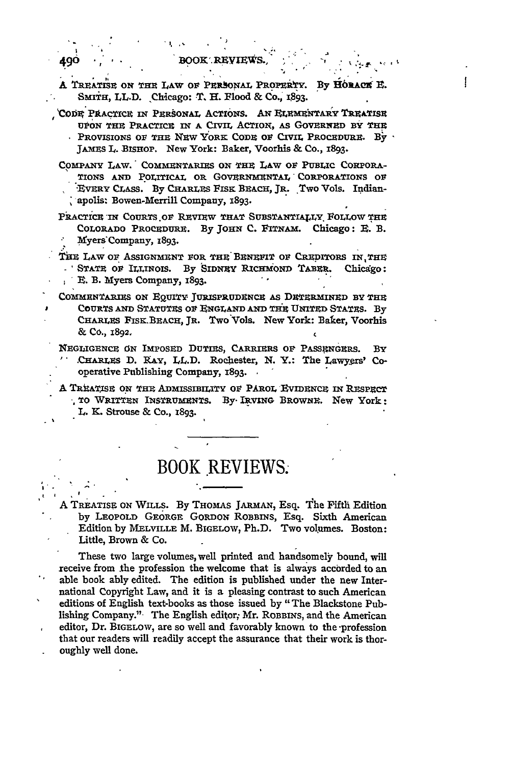By HORACK E. A TREATISE ON THE LAW OF PERSONAL PROPERTY. SMITH, LL.D. Chicago: T. H. Flood & Co., 1893.

CODE PRACTICE IN PERSONAL ACTIONS. AN ELEMENTARY TREATISE UPON THE PRACTICE IN A CIVIL ACTION, AS GOVERNED BY THE . PROVISIONS OF THE NEW YORK CODE OF CIVIL PROCEDURE. By JAMES L. BISHOP. New York: Baker, Voorhis & Co., 1893.

COMPANY LAW. COMMENTARIES ON THE LAW OF PUBLIC CORPORA-TIONS AND POLITICAL OR GOVERNMENTAL CORPORATIONS OF EVERY CLASS. By CHARLES FISK BEACH, JR. Two Vols. Indianapolis: Bowen-Merrill Company, 1893.

PRACTICE IN COURTS OF REVIEW THAT SUBSTANTIALLY FOLLOW THE COLORADO PROCEDURE. By JOHN C. FITNAM. Chicago: E. B. Myers Company, 1893.

THE LAW OF ASSIGNMENT FOR THE BENEFIT OF CREDITORS IN, THE STATE OF ILLINOIS. By SIDNEY RICHMOND TABER. Chicago: E. B. Myers Company, 1893.

COMMENTARIES ON EQUITY JURISPRUDENCE AS DETERMINED BY THE COURTS AND STATUTES OF ENGLAND AND THE UNITED STATES. By CHARLES FISK. BEACH, JR. Two Vols. New York: Baker, Voorhis & Co., 1892.

NEGLIGENCE ON IMPOSED DUTIES, CARRIERS OF PASSENGERS. By CHARLES D. RAY, L.L.D. Rochester, N. Y.: The Lawyers' Cooperative Publishing Company, 1893.

A TREATISE ON THE ADMISSIBILITY OF PAROL EVIDENCE IN RESPECT TO WRITTEN INSTRUMENTS. By IRVING BROWNE. New York: L. K. Strouse & Co., 1893.

## **BOOK REVIEWS.**

TREATISE ON WILLS. By THOMAS JARMAN, Esq. The Fifth Edition by LEOPOLD GEORGE GORDON ROBBINS, Esq. Sixth American Edition by MELVILLE M. BIGELOW, Ph.D. Two volumes. Boston: Little, Brown & Co.

These two large volumes, well printed and handsomely bound, will receive from the profession the welcome that is always accorded to an able book ably edited. The edition is published under the new International Copyright Law, and it is a pleasing contrast to such American editions of English text-books as those issued by "The Blackstone Publishing Company." The English editor; Mr. ROBBINS, and the American editor, Dr. BIGELOW, are so well and favorably known to the profession that our readers will readily accept the assurance that their work is thoroughly well done.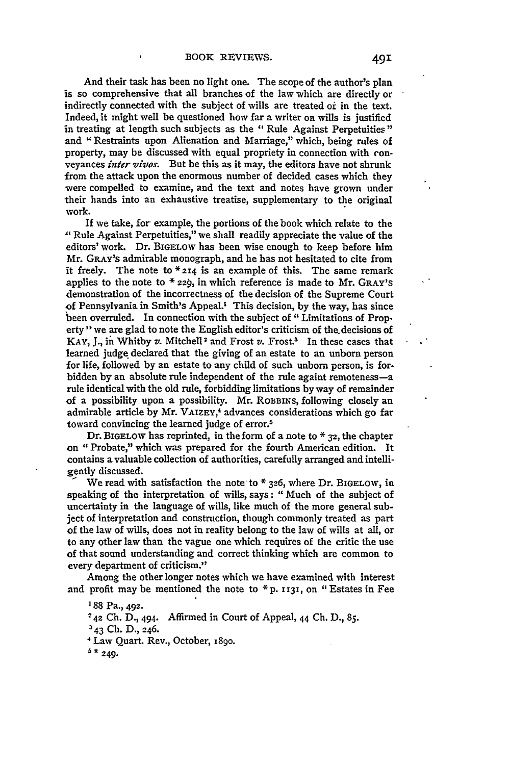And their task has been no light one. The scope of the author's plan is so comprehensive that all branches of the law which are directly or indirectly connected with the subject of wills are treated or in the text. Indeed, it might well be questioned how far a writer on wills is justified in treating at length such subjects as the " Rule Against Perpetuities" and "Restraints upon Alienation and Marriage," which, being rules of property, may be discussed with equal propriety in connection with conveyances *inter vivos.* But be this as it may, the editors have not shrunk from the attack upon the enormous number of decided cases which they were compelled to examine, and the text and notes have grown under their hands into an exhaustive treatise, supplementary to the original work.

If we take, for example, the portions of the book which relate to the **"'** Rule Against Perpetuities," we shall readily appreciate the value of the editors' work. Dr. BIGELOW has been wise enough to keep before him Mr. GRAY'S admirable monograph, and he has not hesitated to cite from it freely. The note to **\* 214** is an example of this. The same remark applies to the note to  $*$  229, in which reference is made to Mr. GRAY's demonstration of the incorrectness of the decision of the Supreme Court **of** Pennsylvania in Smith's Appeal.' This decision, by the way, has since been overruled. In connection with the subject of "Limitations of Property" we are glad to note the English editor's criticism of the.decisions of KAY, J., in Whitby v. Mitchell<sup>2</sup> and Frost v. Frost.<sup>3</sup> In these cases that learned judge, declared that the giving of an estate to an unborn person for life, followed **by** an estate to any child of such unborn person, is forbidden by an absolute rule independent of the rule againt remoteness-a rule identical with the old rule, forbidding limitations **by** way of remainder of a possibility upon a possibility. Mr. ROBBiNS, following closely an admirable article by Mr. VAIZEY,<sup>4</sup> advances considerations which go far toward convincing the learned judge of error.<sup>5</sup>

Dr. BIGELOW has reprinted, in the form of a note to  $*$  32, the chapter on "Probate," which was prepared for the fourth American edition. It contains a valuable collection of authorities, carefully arranged and intelligently discussed.

We read with satisfaction the note to **\* 326,** where Dr. BIGELOW, in speaking of the interpretation of wills, says: "Much of the subject of uncertainty in the language of wills, like much of the more general subject of interpretation and construction, though commonly treated as part of the law of wills, does not in reality belong to the law of wills at all, or to any other law than the vague one which requires of the critic the use of that sound understanding and correct thinking which are common to every department of criticism."

Among the other longer notes which we have examined with interest and profit may be mentioned the note to **\* p. 1131,** on "Estates in Fee

**188** Pa., **492.**

**242 Ch.** D., 494. Affirmed in Court of Appeal, 44 **Ch. D., 85.**

**343 Ch. D., 246.**

**4** Law Quart. Rev., October, x8go.

 $5*249.$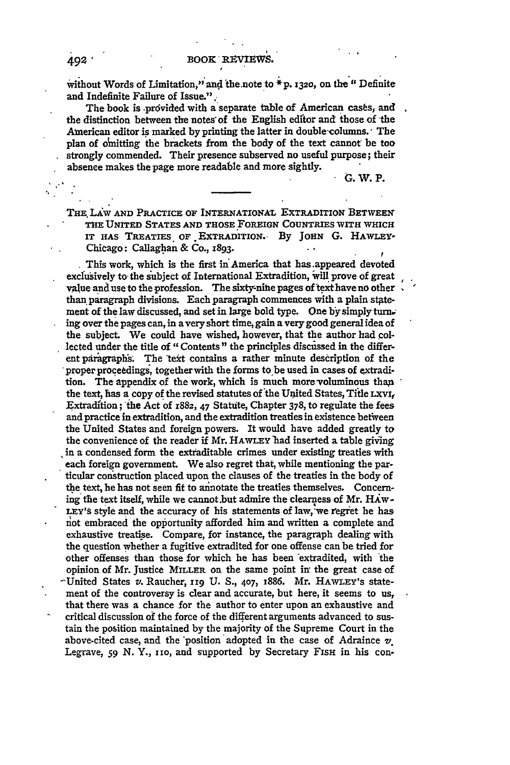Without Words of Limitation," and the.note to **\*p. 1320,** on the Definite and Indefinite Failure of Issue.",

The book is provided with a separate table of American cases, and the distinction between the notes'of the English editor and those of the American editor is marked by printing the latter in double-columns.<sup>1</sup> The plan of omitting the brackets from the body of the text cannot be too strongly commended. Their presence subserved no useful purpose; their absence makes the page more readable and more sightly.

**G. W. P.**

THE, LiW **AND** PRACTICE **OF** INTERNATIONAL EXTRADITION **BETWEEN THE UNITED STATES AND THOSE** FOREIGN **COUNTRIES** WITH WHICH IT HAS TREATIES. OF EXTRADITION., **By JOHN G.** HAWLEY-Chicago: Callaghan & Co., 1893. **.**

This work, which is the first **in** America that has.appeared devoted exclusively to. the subject of International Extradition, will prove of great value and use to the profession. The sixty-nine pages of text have no other than paragraph divisions. Each paragraph commences with a plain statement of the law discussed, and set in large bold type. One **by** simply turn. ing over the pages can, in avery short time, gain a very good general idea of the subject. We could have wished, however, that the author had collected under the title of "Contents" the principles discussed in the different paragraphs. The text contains a rather minute description of the proper proceedings, together with the forms to be used in cases of extradition. The appendix of the work, which is much more voluminous than the text, has a copy of the revised statutes of the United States, Title LXVI<sub>I</sub> Extradftion; **the** Act of r88z, 47 Stattite, Chapter **378,** to regulate the fees and practice in extradition, and the extradition treaties in existence between the United States and foreign powers. It would have added greatly to the convenience of the reader if Mr. **HAWLEY'** had inserted a table giving in a condensed form the extraditable crimes under existing treaties with each foreign government. We also regret that, while mentioning the particular construction placed upon the clauses of the treaties in the body of the text, he has not seen fit to annotate the treaties themselves. Concerning the text itself, while we cannot but admire the clearness of Mr. HAW-LEY's style and the accuracy of his statements of law, we regret he has **not** embraced the opportunity afforded him and written a complete and exhaustive treatise. Compare, for instance, the paragraph dealing with the question whether a fugitive extradited for one offense can be tried for other offenses than those for which he has been 'extradited, with the opinion of Mr. Justice MILLER on the same point in the great case of -United States v. Raucher, **iig U. S., 407, i886.** Mr. HAWLEY'S statement of the controversy is clear and accurate, but here, it seems to us, that there was a chance for the author to enter upon an exhaustive and critical discussion **of** the force of the different arguments advanced to sustain the position maintained **by** the majority of the Supreme Court in the above-cited case, and the position adopted in the case of Adraince **z.** Legrave, 59 **N.** Y., no, and supported **by** Secretary FISH in his con-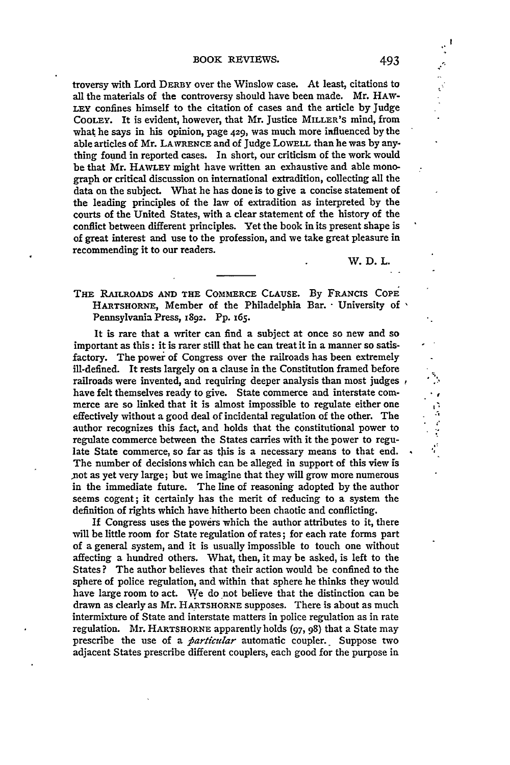troversy with Lord DERBY over the Winslow case. At least, citations to all the materials of the controversy should have been made. Mr. HAW-LEY confines himself to the citation of cases and the article by Judge COOLEY. It is evident, however, that Mr. Justice MILLER'S mind, from what he says in his opinion, page 429, was much more influenced by the able articles of Mr. LAWRENCE and of Judge LOWELL than he was by anything found in reported cases. In short, our criticism of the work would be that Mr. HAWLEY might have written an exhaustive and able monograph or critical discussion on international extradition, collecting all the data on the subject. What he has done is to give a concise statement of the leading principles of the law of extradition as interpreted by the courts of the United States, with a clear statement of the history of the conflict between different principles. Yet the book in its present shape is of great interest and use to the profession, and we take great pleasure in recommending it to our readers.

## W.D.L.

 $\frac{1}{2}$  $\frac{1}{2}$ i.

THE RAILROADS AND THE COMMERCE CLAUSE. By **FRANCIS** COPE HARTSHORNE, Member of the Philadelphia Bar. University of Pennsylvania Press, 1892. Pp. I65.

It is rare that a writer can find a subject at once so new and so important as this: it is rarer still that he can treat it in a manner so satisfactory. The power of Congress over the railroads has been extremely ill-defined. It rests largely on a clause in the Constitution framed before railroads were invented, and requiring deeper analysis than most judges **.** have felt themselves ready to give. State commerce and interstate commerce are so linked that it is almost impossible to regulate either one effectively without a good deal of incidental regulation of the other. The author recognizes this fact, and holds that the constitutional power to regulate commerce between the States carries with it the power to regulate State commerce, so far as this is a necessary means to that end. The number of decisions which can be alleged in support of this view is ,not as yet very large; but we imagine that they will grow more numerous in the immediate future. The line of reasoning adopted **by** the author seems cogent; it certainly has the merit of reducing to a system the definition of rights which have hitherto been chaotic and conflicting.

If Congress uses the powers which the author attributes to it, there will be little room for State regulation of rates; for each rate forms part of a general system, and it is usually impossible to touch one without affecting a hundred others. What, then, it may be asked, is left to the States? The author believes that their action would be confined to the sphere of police regulation, and within that sphere he thinks they would have large room to act. We do not believe that the distinction can be drawn as clearly as Mr. HARTSHORNE supposes. There is about as much intermixture of State and interstate matters in police regulation as in rate regulation. Mr. HARTSHORNE apparently holds (97, 98) that a State may prescribe the use of a *particular* automatic coupler. Suppose two adjacent States prescribe different couplers, each good for the purpose in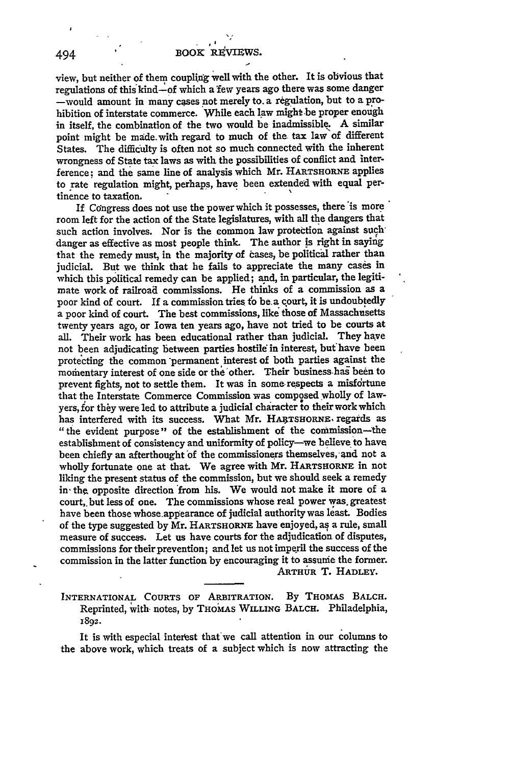view, but neither of them coupling well with the other. It is obvious that regulations of this kind-of which a few years ago there was some danger -would amount in many cases not merely to. a regulation, but to a **pro**hibition of interstate commerce. While each law might be proper enough in itself, the combination of the two would be inadmissible. **A** similar point might be made.with regard to much of the tax law of different States. The difficulty is often not so much connected with the inherent wrongness of State tax laws as with the possibilities of conflict and interference, and the same line of analysis which Mr. HARTSHORNE applies to rate regulation might, perhaps, have been extended with equal pertinence to taxation.

If C6ngress does not use the power which it possesses, there **'is** more room left for the action of the State legislatures, with all the dangers that such action involves. Nor is the common law protection against such danger as effective as most people think. The author is right in saying that the remedy must, in the majority of cases, be political rather than judicial. But we think that he fails to appreciate the many cases in which this political remedy can be applied; and, in particular, the legitimate work of railroad commissions. He thinks of a commission as a poor kind of court. If a commission tries to be a court, it is undoubtedly a poor kind of court. The best commissions, like those of Massachusetts twenty years ago, or Iowa ten years ago, have not tried to be courts at all. Their work has been educational rather than judicial. They have not been adjudicating between parties hostile in interest, but'have been protecting the common 'permanent interest of both parties against the momentary interest of one side or the other. Their business has been to prevent fights, not to settle them. It was in some respects a misfortune that the Interstate Commerce Commission was composed wholly of lawyers, **for** they were led to attribute a judicial character to their work which has interfered with its success. What Mr. HARTSHORNE. regards as "the evident purpose" of the establishment of the commission--the establishment of consistency and uniformity of policy-we believe to have been chiefly an afterthought of the commissioners themselves, and not a wholly fortunate one at that. We agree with Mr. HARTSHORNE in not liking the present status of the commission, but we should seek a remedy in the opposite direction from his. We would not make it more of a court, but less of one. The commissions whose real power was. greatest have been those whose appearance of judicial authority was least. Bodies of the type suggested **by** Mr. HARTSHORNE have enjoyed, **as** a rule, small measure of success. Let us have courts for the adjudication of disputes, commissions for their prevention; and let us not imperil the success of the commission in the latter function **by** encouraging it to assunie the former. ARTHuR T. **HADLEY.**

INTERNATIONAL COURTS OF ARBITRATION. By THOMAS BALCH. Reprinted, with notes, by THOMAS WILLING BALCH. Philadelphia, **1892.**

It is with especial interest that we call attention in our columns to the above work, which treats of a subject which is now attracting the